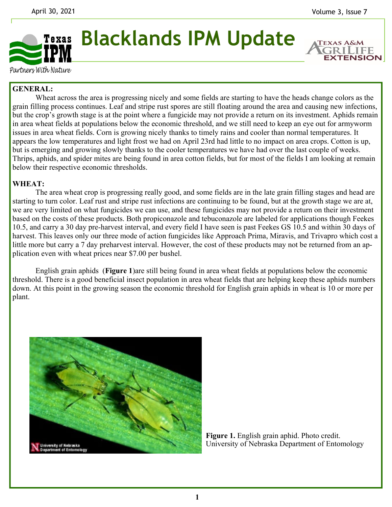**EXTENSION** 



**Blacklands IPM Update** 

Partners With Nature

# **GENERAL:**

 Wheat across the area is progressing nicely and some fields are starting to have the heads change colors as the grain filling process continues. Leaf and stripe rust spores are still floating around the area and causing new infections, but the crop's growth stage is at the point where a fungicide may not provide a return on its investment. Aphids remain in area wheat fields at populations below the economic threshold, and we still need to keep an eye out for armyworm issues in area wheat fields. Corn is growing nicely thanks to timely rains and cooler than normal temperatures. It appears the low temperatures and light frost we had on April 23rd had little to no impact on area crops. Cotton is up, but is emerging and growing slowly thanks to the cooler temperatures we have had over the last couple of weeks. Thrips, aphids, and spider mites are being found in area cotton fields, but for most of the fields I am looking at remain below their respective economic thresholds.

### **WHEAT:**

 The area wheat crop is progressing really good, and some fields are in the late grain filling stages and head are starting to turn color. Leaf rust and stripe rust infections are continuing to be found, but at the growth stage we are at, we are very limited on what fungicides we can use, and these fungicides may not provide a return on their investment based on the costs of these products. Both propiconazole and tebuconazole are labeled for applications though Feekes 10.5, and carry a 30 day pre-harvest interval, and every field I have seen is past Feekes GS 10.5 and within 30 days of harvest. This leaves only our three mode of action fungicides like Approach Prima, Miravis, and Trivapro which cost a little more but carry a 7 day preharvest interval. However, the cost of these products may not be returned from an application even with wheat prices near \$7.00 per bushel.

 English grain aphids (**Figure 1**)are still being found in area wheat fields at populations below the economic threshold. There is a good beneficial insect population in area wheat fields that are helping keep these aphids numbers down. At this point in the growing season the economic threshold for English grain aphids in wheat is 10 or more per plant.



**Figure 1.** English grain aphid. Photo credit. University of Nebraska Department of Entomology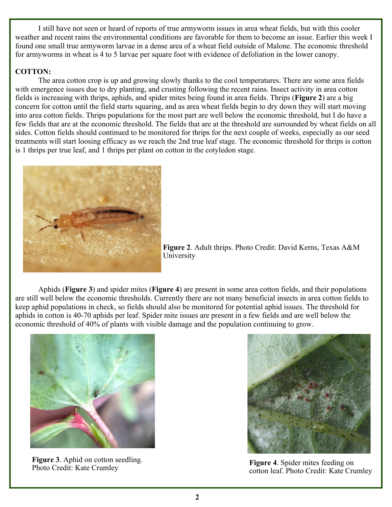I still have not seen or heard of reports of true armyworm issues in area wheat fields, but with this cooler weather and recent rains the environmental conditions are favorable for them to become an issue. Earlier this week I found one small true armyworm larvae in a dense area of a wheat field outside of Malone. The economic threshold for armyworms in wheat is 4 to 5 larvae per square foot with evidence of defoliation in the lower canopy.

## **COTTON:**

 The area cotton crop is up and growing slowly thanks to the cool temperatures. There are some area fields with emergence issues due to dry planting, and crusting following the recent rains. Insect activity in area cotton fields is increasing with thrips, aphids, and spider mites being found in area fields. Thrips (**Figure 2**) are a big concern for cotton until the field starts squaring, and as area wheat fields begin to dry down they will start moving into area cotton fields. Thrips populations for the most part are well below the economic threshold, but I do have a few fields that are at the economic threshold. The fields that are at the threshold are surrounded by wheat fields on all sides. Cotton fields should continued to be monitored for thrips for the next couple of weeks, especially as our seed treatments will start loosing efficacy as we reach the 2nd true leaf stage. The economic threshold for thrips is cotton is 1 thrips per true leaf, and 1 thrips per plant on cotton in the cotyledon stage.



**Figure 2**. Adult thrips. Photo Credit: David Kerns, Texas A&M University

 Aphids (**Figure 3**) and spider mites (**Figure 4**) are present in some area cotton fields, and their populations are still well below the economic thresholds. Currently there are not many beneficial insects in area cotton fields to keep aphid populations in check, so fields should also be monitored for potential aphid issues. The threshold for aphids in cotton is 40-70 aphids per leaf. Spider mite issues are present in a few fields and are well below the economic threshold of 40% of plants with visible damage and the population continuing to grow.



**Figure 3**. Aphid on cotton seedling. **Figure 3**. Applied on cotton seeding.<br> **Figure 4**. Spider mites feeding on Photo Credit: Kate Crumley and Continued and Credit: Kate Crumley



cotton leaf. Photo Credit: Kate Crumley